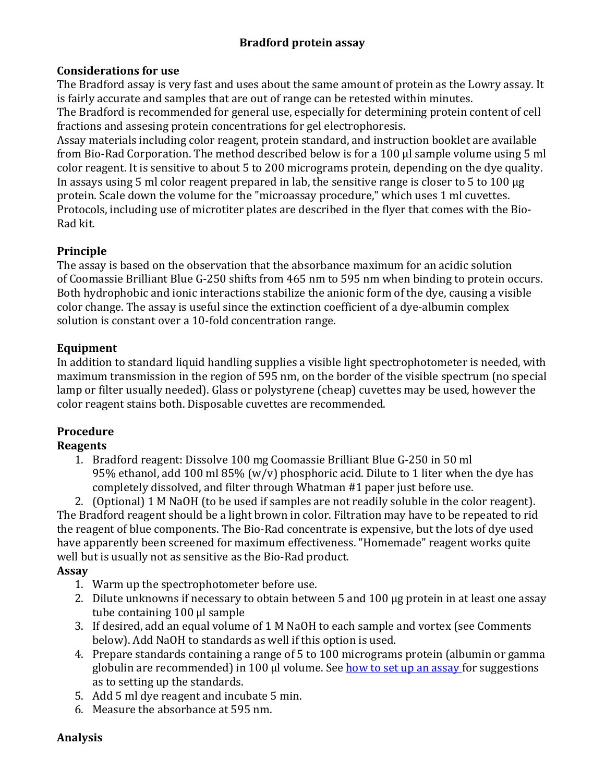### **Bradford protein assay**

#### **Considerations for use**

The Bradford assay is very fast and uses about the same amount of protein as the Lowry assay. It is fairly accurate and samples that are out of range can be retested within minutes.

The Bradford is recommended for general use, especially for determining protein content of cell fractions and assesing protein concentrations for gel electrophoresis.

Assay materials including color reagent, protein standard, and instruction booklet are available from Bio-Rad Corporation. The method described below is for a 100 µl sample volume using 5 ml color reagent. It is sensitive to about 5 to 200 micrograms protein, depending on the dye quality. In assays using 5 ml color reagent prepared in lab, the sensitive range is closer to 5 to 100 µg protein. Scale down the volume for the "microassay procedure," which uses 1 ml cuvettes. Protocols, including use of microtiter plates are described in the flyer that comes with the Bio-Rad kit.

## **Principle**

The assay is based on the observation that the absorbance maximum for an acidic solution of Coomassie Brilliant Blue G-250 shifts from 465 nm to 595 nm when binding to protein occurs. Both hydrophobic and ionic interactions stabilize the anionic form of the dye, causing a visible color change. The assay is useful since the extinction coefficient of a dye-albumin complex solution is constant over a 10-fold concentration range.

### **Equipment**

In addition to standard liquid handling supplies a visible light spectrophotometer is needed, with maximum transmission in the region of 595 nm, on the border of the visible spectrum (no special lamp or filter usually needed). Glass or polystyrene (cheap) cuvettes may be used, however the color reagent stains both. Disposable cuvettes are recommended.

# **Procedure**

## **Reagents**

1. Bradford reagent: Dissolve 100 mg Coomassie Brilliant Blue G-250 in 50 ml 95% ethanol, add 100 ml 85% (w/v) phosphoric acid. Dilute to 1 liter when the dye has completely dissolved, and filter through Whatman #1 paper just before use.

2. (Optional) 1 M NaOH (to be used if samples are not readily soluble in the color reagent). The Bradford reagent should be a light brown in color. Filtration may have to be repeated to rid the reagent of blue components. The Bio-Rad concentrate is expensive, but the lots of dye used have apparently been screened for maximum effectiveness. "Homemade" reagent works quite well but is usually not as sensitive as the Bio-Rad product.

#### **Assay**

- 1. Warm up the spectrophotometer before use.
- 2. Dilute unknowns if necessary to obtain between 5 and 100 µg protein in at least one assay tube containing 100 µl sample
- 3. If desired, add an equal volume of 1 M NaOH to each sample and vortex (see Comments below). Add NaOH to standards as well if this option is used.
- 4. Prepare standards containing a range of 5 to 100 micrograms protein (albumin or gamma globulin are recommended) in 100  $\mu$ l volume. See how to set up an assay for suggestions as to setting up the standards.
- 5. Add 5 ml dye reagent and incubate 5 min.
- 6. Measure the absorbance at 595 nm.

#### **Analysis**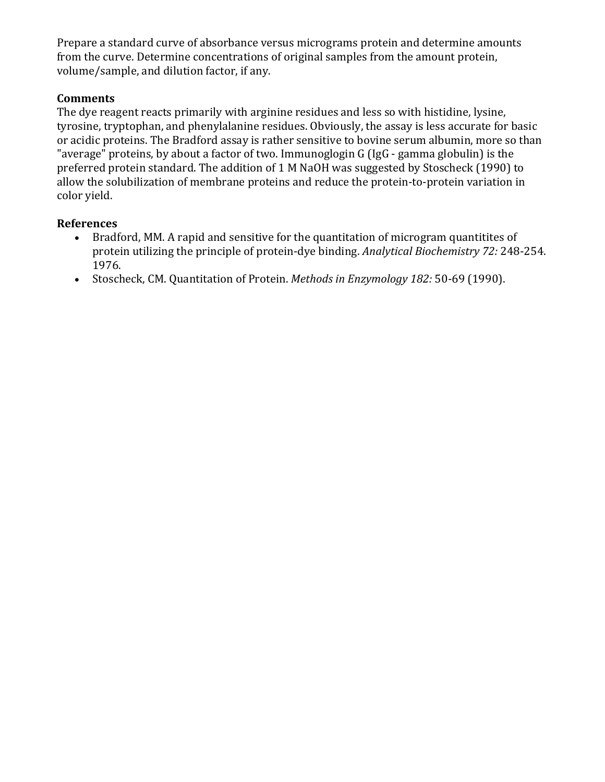Prepare a standard curve of absorbance versus micrograms protein and determine amounts from the curve. Determine concentrations of original samples from the amount protein, volume/sample, and dilution factor, if any.

#### **Comments**

The dye reagent reacts primarily with arginine residues and less so with histidine, lysine, tyrosine, tryptophan, and phenylalanine residues. Obviously, the assay is less accurate for basic or acidic proteins. The Bradford assay is rather sensitive to bovine serum albumin, more so than "average" proteins, by about a factor of two. Immunoglogin G (IgG - gamma globulin) is the preferred protein standard. The addition of 1 M NaOH was suggested by Stoscheck (1990) to allow the solubilization of membrane proteins and reduce the protein-to-protein variation in color yield.

#### **References**

- Bradford, MM. A rapid and sensitive for the quantitation of microgram quantitites of protein utilizing the principle of protein-dye binding. *Analytical Biochemistry 72:* 248-254. 1976.
- Stoscheck, CM. Quantitation of Protein. *Methods in Enzymology 182:* 50-69 (1990).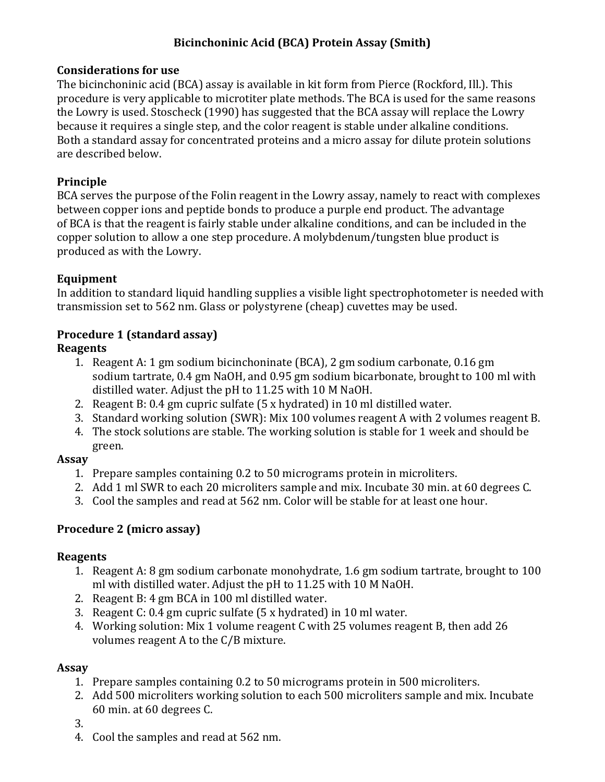## **Bicinchoninic Acid (BCA) Protein Assay (Smith)**

#### **Considerations for use**

The bicinchoninic acid (BCA) assay is available in kit form from Pierce (Rockford, Ill.). This procedure is very applicable to microtiter plate methods. The BCA is used for the same reasons the Lowry is used. Stoscheck (1990) has suggested that the BCA assay will replace the Lowry because it requires a single step, and the color reagent is stable under alkaline conditions. Both a standard assay for concentrated proteins and a micro assay for dilute protein solutions are described below.

#### **Principle**

BCA serves the purpose of the Folin reagent in the Lowry assay, namely to react with complexes between copper ions and peptide bonds to produce a purple end product. The advantage of BCA is that the reagent is fairly stable under alkaline conditions, and can be included in the copper solution to allow a one step procedure. A molybdenum/tungsten blue product is produced as with the Lowry.

### **Equipment**

In addition to standard liquid handling supplies a visible light spectrophotometer is needed with transmission set to 562 nm. Glass or polystyrene (cheap) cuvettes may be used.

### **Procedure 1 (standard assay)**

#### **Reagents**

- 1. Reagent A: 1 gm sodium bicinchoninate (BCA), 2 gm sodium carbonate, 0.16 gm sodium tartrate, 0.4 gm NaOH, and 0.95 gm sodium bicarbonate, brought to 100 ml with distilled water. Adjust the pH to 11.25 with 10 M NaOH.
- 2. Reagent B: 0.4 gm cupric sulfate (5 x hydrated) in 10 ml distilled water.
- 3. Standard working solution (SWR): Mix 100 volumes reagent A with 2 volumes reagent B.
- 4. The stock solutions are stable. The working solution is stable for 1 week and should be green.

#### **Assay**

- 1. Prepare samples containing 0.2 to 50 micrograms protein in microliters.
- 2. Add 1 ml SWR to each 20 microliters sample and mix. Incubate 30 min. at 60 degrees C.
- 3. Cool the samples and read at 562 nm. Color will be stable for at least one hour.

## **Procedure 2 (micro assay)**

#### **Reagents**

- 1. Reagent A: 8 gm sodium carbonate monohydrate, 1.6 gm sodium tartrate, brought to 100 ml with distilled water. Adjust the pH to 11.25 with 10 M NaOH.
- 2. Reagent B: 4 gm BCA in 100 ml distilled water.
- 3. Reagent C: 0.4 gm cupric sulfate (5 x hydrated) in 10 ml water.
- 4. Working solution: Mix 1 volume reagent C with 25 volumes reagent B, then add 26 volumes reagent A to the C/B mixture.

#### **Assay**

- 1. Prepare samples containing 0.2 to 50 micrograms protein in 500 microliters.
- 2. Add 500 microliters working solution to each 500 microliters sample and mix. Incubate 60 min. at 60 degrees C.
- 3.
- 4. Cool the samples and read at 562 nm.